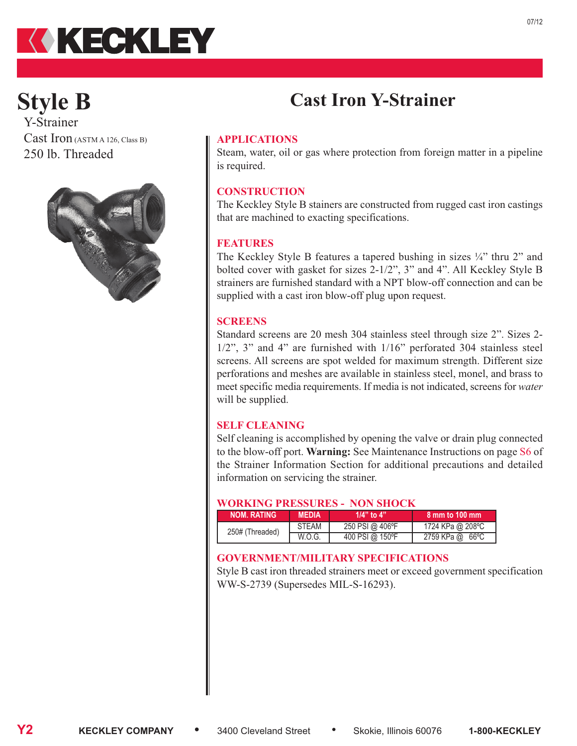

# **Style B**

Y-Strainer Cast Iron (ASTM A 126, Class B) 250 lb. Threaded



#### **APPLICATIONS**

Steam, water, oil or gas where protection from foreign matter in a pipeline is required.

**Cast Iron Y-Strainer**

#### **CONSTRUCTION**

The Keckley Style B stainers are constructed from rugged cast iron castings that are machined to exacting specifications.

#### **FEATURES**

The Keckley Style B features a tapered bushing in sizes ¼" thru 2" and bolted cover with gasket for sizes 2-1/2", 3" and 4". All Keckley Style B strainers are furnished standard with a NPT blow-off connection and can be supplied with a cast iron blow-off plug upon request.

#### **SCREENS**

Standard screens are 20 mesh 304 stainless steel through size 2". Sizes 2- 1/2", 3" and 4" are furnished with 1/16" perforated 304 stainless steel screens. All screens are spot welded for maximum strength. Different size perforations and meshes are available in stainless steel, monel, and brass to meet specific media requirements. If media is not indicated, screens for *water* will be supplied.

#### **SELF CLEANING**

Self cleaning is accomplished by opening the valve or drain plug connected to the blow-off port. **Warning:** See Maintenance Instructions on page S6 of the Strainer Information Section for additional precautions and detailed information on servicing the strainer.

#### **WORKING PRESSURES - NON SHOCK**

| <b>NOM. RATING</b> | MEDIA        | 1/4" to 4"      | 8 mm to 100 mm   |
|--------------------|--------------|-----------------|------------------|
| 250# (Threaded)    | <b>STEAM</b> | 250 PSI @ 406°F | 1724 KPa @ 208°C |
|                    | W.O.G.       | 400 PSI @ 150°F | 2759 KPa @ 66°C  |

#### **GOVERNMENT/MILITARY SPECIFICATIONS**

Style B cast iron threaded strainers meet or exceed government specification WW-S-2739 (Supersedes MIL-S-16293).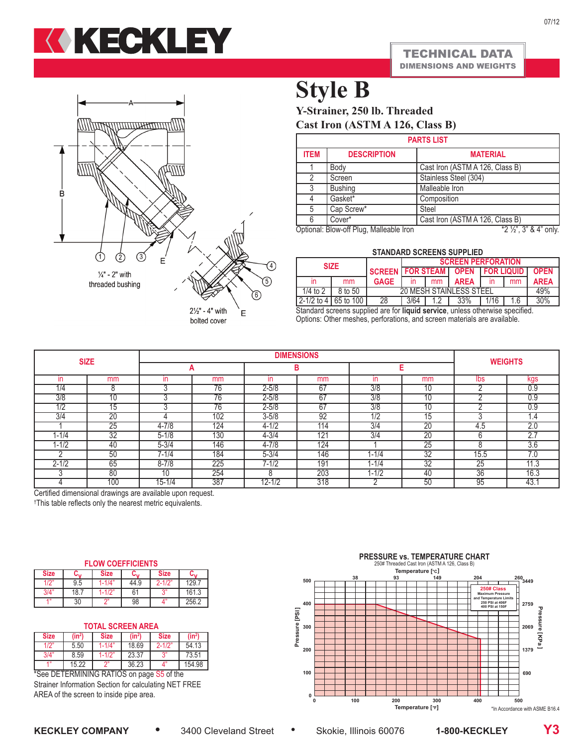



bolted cover

### **Style B**

**Y-Strainer, 250 lb. Threaded Cast Iron (ASTM A 126, Class B)**

| <b>PARTS LIST</b> |                                         |                                 |  |  |
|-------------------|-----------------------------------------|---------------------------------|--|--|
| <b>ITEM</b>       | <b>DESCRIPTION</b>                      | <b>MATERIAL</b>                 |  |  |
|                   | Body                                    | Cast Iron (ASTM A 126, Class B) |  |  |
| $\mathfrak{p}$    | Screen                                  | Stainless Steel (304)           |  |  |
| 3                 | <b>Bushing</b>                          | Malleable Iron                  |  |  |
| 4                 | Gasket*                                 | Composition                     |  |  |
| 5                 | Cap Screw*                              | <b>Steel</b>                    |  |  |
| 6                 | Cover*                                  | Cast Iron (ASTM A 126, Class B) |  |  |
|                   | Optional: Blow-off Plug, Malleable Iron | $*2\frac{1}{2}$ , 3" & 4" only. |  |  |

**STANDARD SCREENS SUPPLIED**

| SIANDARD SCREENS SUPPLIED |         |                                        |                           |               |             |  |     |             |
|---------------------------|---------|----------------------------------------|---------------------------|---------------|-------------|--|-----|-------------|
| <b>SIZE</b>               |         |                                        | <b>SCREEN PERFORATION</b> |               |             |  |     |             |
|                           |         | SCREEN   FOR STEAM   OPEN   FOR LIQUID |                           |               |             |  |     | <b>OPEN</b> |
| ın                        | mm      | <b>GAGE</b>                            |                           | <sub>mm</sub> | <b>AREA</b> |  | mm  | <b>AREA</b> |
| 1/4 to 2                  | 8 to 50 | 20 MESH STAINLESS STEEL                |                           |               |             |  | 49% |             |
| 2-1/2 to 4   65 to 100    |         | 28<br>3/64<br>33%<br>716<br>.6         |                           |               |             |  |     | 30%         |

Standard screens supplied are for **liquid service**, unless otherwise specified. Options: Other meshes, perforations, and screen materials are available.

|                  |                 | <b>DIMENSIONS</b>      |                 |            |                  |                   |                 | <b>WEIGHTS</b> |               |
|------------------|-----------------|------------------------|-----------------|------------|------------------|-------------------|-----------------|----------------|---------------|
| <b>SIZE</b>      |                 | A                      |                 | в          |                  |                   |                 |                |               |
| in               | mm              | ın                     | mm              | ın         | mm               | ın                | mm              | lbs            | kgs           |
| 1/4              | 8               | ົ                      | 76              | $2 - 5/8$  | 67               | $\overline{3/8}$  | 10              |                | 0.9           |
| $\overline{3/8}$ | 10              | c                      | $\overline{76}$ | $2 - 5/8$  | 67               | 3/8               | 10              | ◠              | 0.9           |
| 1/2              | 15              | $\sqrt{2}$             | 76              | $2 - 5/8$  | 67               | 3/8               | 10              | $\sqrt{2}$     | 0.9           |
| $\overline{374}$ | 20              |                        | 102             | $3 - 5/8$  | 92               | 1/2               | ۱5              | ◠              | $.4\,$        |
|                  | 25              | $4 - 7/8$              | 124             | $4 - 1/2$  | $1\overline{14}$ | 3/4               | 20              | 4.5            | 2.0           |
| 1-1/4            | 32              | $5 - 1/8$              | 130             | $4 - 3/4$  | 121              | $\overline{3/4}$  | 20              | $\sim$<br>h    | $\sim$ $\sim$ |
| $1 - 1/2$        | -40             | $5 - 3/4$              | 146             | $4 - 7/8$  | 124              |                   | 25              | 8              | 3.6           |
|                  | 50              | 7-1/4                  | 184             | $5 - 3/4$  | 146              | 1-1/4             | 32              | 15.5           | 7.0           |
| $2 - 1/2$        | 65              | $8 - 7/8$              | 225             | $7 - 1/2$  | 191              | 1-1/4             | $\overline{32}$ | 25             | 11.3          |
|                  | 80              |                        | 254             | 8          | 203              | $1 - \frac{1}{2}$ | -40             | 36             | 16.3          |
| $\sim$           | 100<br>$\cdots$ | $15 - 1/4$<br>$\cdots$ | 387             | $12 - 1/2$ | 318              |                   | 50              | 95             | 43.           |

Certified dimensional drawings are available upon request.

† This table reflects only the nearest metric equivalents.

| <b>FLOW COEFFICIENTS</b> |
|--------------------------|
|--------------------------|

| <b>Size</b> | u.,  | <b>Size</b> |      | <b>Size</b> | u.    |
|-------------|------|-------------|------|-------------|-------|
| 1/2'        | 9.5  | 1-1/4"      | 44.9 | $2 - 1/2"$  | 129.  |
| 3/4'        | 18.7 | $1 - 1/2$ " | 61   |             | 161.3 |
| 4.99        | 30   | $\bigcap$   | 98   | 4"          | 256.2 |

#### **TOTAL SCREEN AREA**

| $(in^2)$ | <b>Size</b> | $(in^2)$ | <b>Size</b> | $(in^2)$      |
|----------|-------------|----------|-------------|---------------|
| 5.50     | 1-1/4"      | 18.69    | $2 - 1/2"$  | 54.13         |
| 8.59     | $1 - 1/2"$  | 23.37    |             | 73.51         |
| 15.22    |             | 36.23    |             | 154.98        |
|          |             |          |             | $\sim$ $\sim$ |

\*See DETERMINING RATIOS on page S5 of the Strainer Information Section for calculating NET FREE AREA of the screen to inside pipe area.